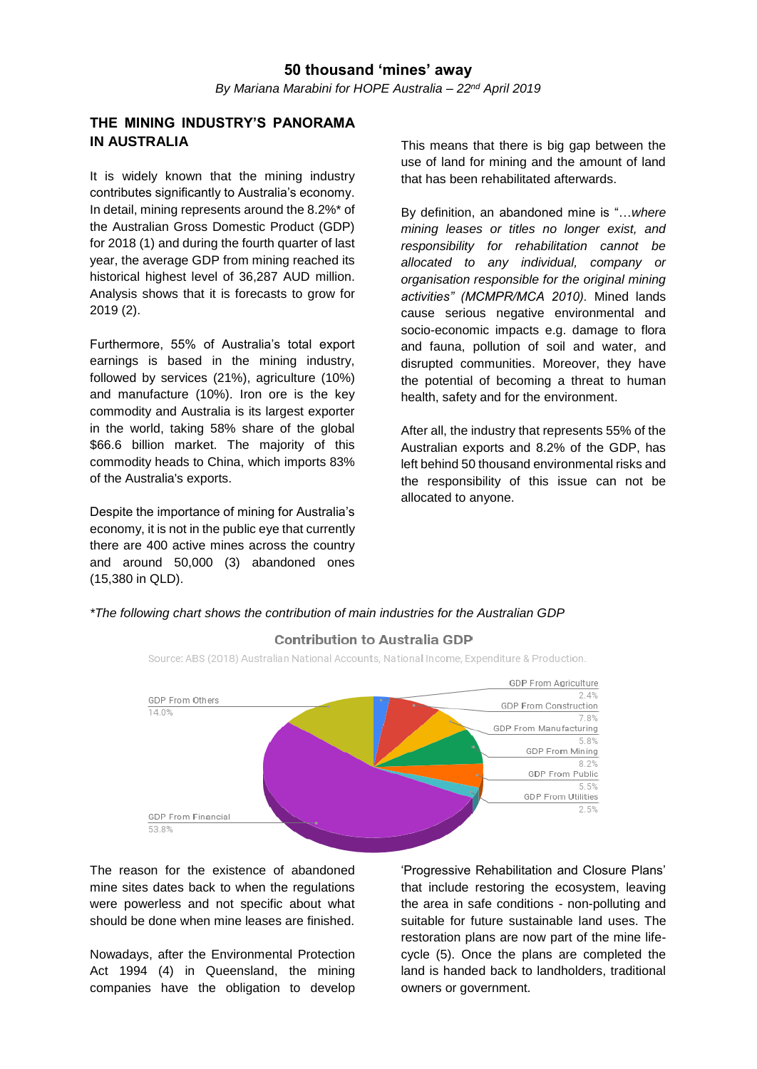# **THE MINING INDUSTRY'S PANORAMA IN AUSTRALIA**

It is widely known that the mining industry contributes significantly to Australia's economy. In detail, mining represents around the 8.2%\* of the Australian Gross Domestic Product (GDP) for 2018 (1) and during the fourth quarter of last year, the average GDP from mining reached its historical highest level of 36,287 AUD million. Analysis shows that it is forecasts to grow for 2019 (2).

Furthermore, 55% of Australia's total export earnings is based in the mining industry, followed by services (21%), agriculture (10%) and manufacture (10%). Iron ore is the key commodity and Australia is its largest exporter in the world, taking 58% share of the global \$66.6 billion market. The majority of this commodity heads to China, which imports 83% of the Australia's exports.

Despite the importance of mining for Australia's economy, it is not in the public eye that currently there are 400 active mines across the country and around 50,000 (3) abandoned ones (15,380 in QLD).

This means that there is big gap between the use of land for mining and the amount of land that has been rehabilitated afterwards.

By definition, an abandoned mine is "…*where mining leases or titles no longer exist, and responsibility for rehabilitation cannot be allocated to any individual, company or organisation responsible for the original mining activities" (MCMPR/MCA 2010).* Mined lands cause serious negative environmental and socio-economic impacts e.g. damage to flora and fauna, pollution of soil and water, and disrupted communities. Moreover, they have the potential of becoming a threat to human health, safety and for the environment.

After all, the industry that represents 55% of the Australian exports and 8.2% of the GDP, has left behind 50 thousand environmental risks and the responsibility of this issue can not be allocated to anyone.

*\*The following chart shows the contribution of main industries for the Australian GDP*



# **Contribution to Australia GDP**

Source: ABS (2018) Australian National Accounts, National Income, Expenditure & Production.

The reason for the existence of abandoned mine sites dates back to when the regulations were powerless and not specific about what should be done when mine leases are finished.

Nowadays, after the Environmental Protection Act 1994 (4) in Queensland, the mining companies have the obligation to develop

'Progressive Rehabilitation and Closure Plans' that include restoring the ecosystem, leaving the area in safe conditions - non-polluting and suitable for future sustainable land uses. The restoration plans are now part of the mine lifecycle (5). Once the plans are completed the land is handed back to landholders, traditional owners or government.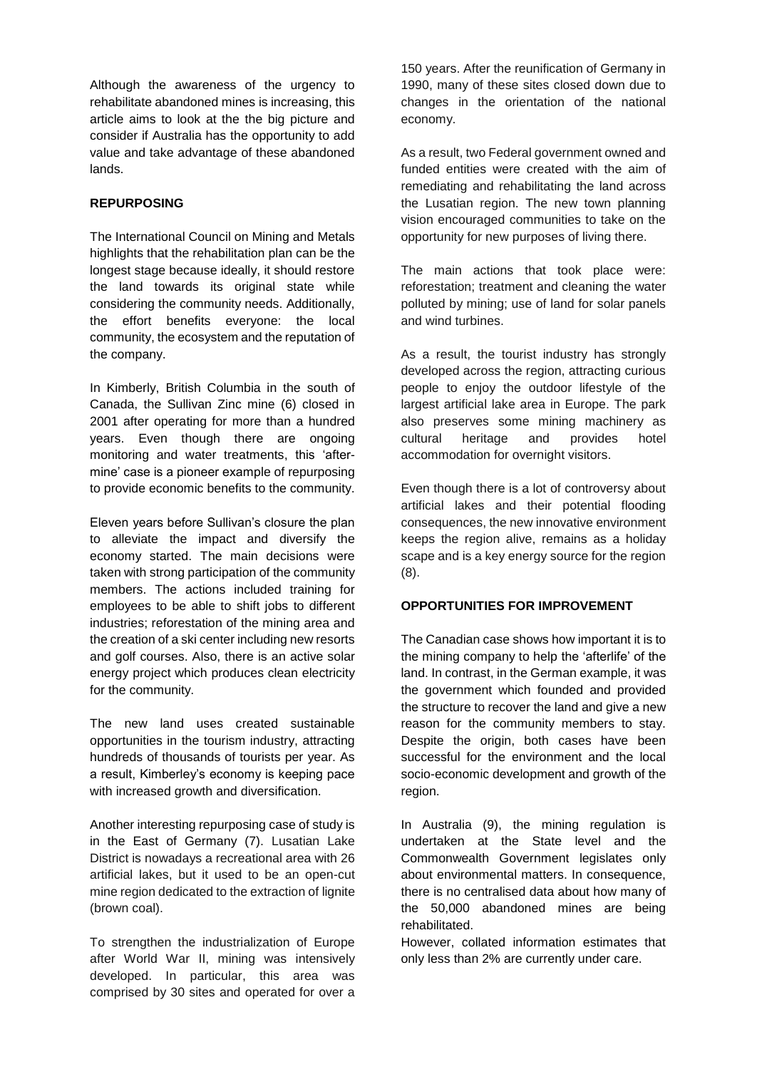Although the awareness of the urgency to rehabilitate abandoned mines is increasing, this article aims to look at the the big picture and consider if Australia has the opportunity to add value and take advantage of these abandoned lands.

### **REPURPOSING**

The International Council on Mining and Metals highlights that the rehabilitation plan can be the longest stage because ideally, it should restore the land towards its original state while considering the community needs. Additionally, the effort benefits everyone: the local community, the ecosystem and the reputation of the company.

In Kimberly, British Columbia in the south of Canada, the Sullivan Zinc mine (6) closed in 2001 after operating for more than a hundred years. Even though there are ongoing monitoring and water treatments, this 'aftermine' case is a pioneer example of repurposing to provide economic benefits to the community.

Eleven years before Sullivan's closure the plan to alleviate the impact and diversify the economy started. The main decisions were taken with strong participation of the community members. The actions included training for employees to be able to shift jobs to different industries; reforestation of the mining area and the creation of a ski center including new resorts and golf courses. Also, there is an active solar energy project which produces clean electricity for the community.

The new land uses created sustainable opportunities in the tourism industry, attracting hundreds of thousands of tourists per year. As a result, Kimberley's economy is keeping pace with increased growth and diversification.

Another interesting repurposing case of study is in the East of Germany (7). Lusatian Lake District is nowadays a recreational area with 26 artificial lakes, but it used to be an open-cut mine region dedicated to the extraction of lignite (brown coal).

To strengthen the industrialization of Europe after World War II, mining was intensively developed. In particular, this area was comprised by 30 sites and operated for over a

150 years. After the reunification of Germany in 1990, many of these sites closed down due to changes in the orientation of the national economy.

As a result, two Federal government owned and funded entities were created with the aim of remediating and rehabilitating the land across the Lusatian region. The new town planning vision encouraged communities to take on the opportunity for new purposes of living there.

The main actions that took place were: reforestation; treatment and cleaning the water polluted by mining; use of land for solar panels and wind turbines.

As a result, the tourist industry has strongly developed across the region, attracting curious people to enjoy the outdoor lifestyle of the largest artificial lake area in Europe. The park also preserves some mining machinery as cultural heritage and provides hotel accommodation for overnight visitors.

Even though there is a lot of controversy about artificial lakes and their potential flooding consequences, the new innovative environment keeps the region alive, remains as a holiday scape and is a key energy source for the region (8).

# **OPPORTUNITIES FOR IMPROVEMENT**

The Canadian case shows how important it is to the mining company to help the 'afterlife' of the land. In contrast, in the German example, it was the government which founded and provided the structure to recover the land and give a new reason for the community members to stay. Despite the origin, both cases have been successful for the environment and the local socio-economic development and growth of the region.

In Australia (9), the mining regulation is undertaken at the State level and the Commonwealth Government legislates only about environmental matters. In consequence, there is no centralised data about how many of the 50,000 abandoned mines are being rehabilitated.

However, collated information estimates that only less than 2% are currently under care.